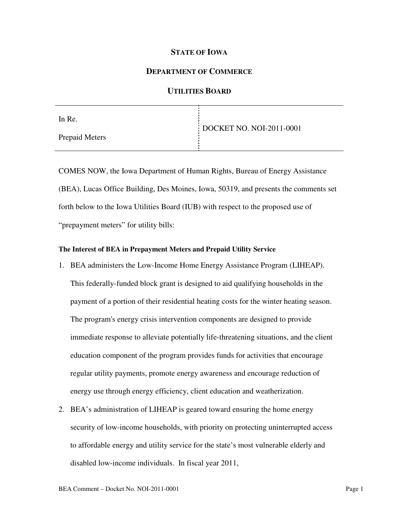## **STATE OF IOWA**

## **DEPARTMENT OF COMMERCE**

# **UTILITIES BOARD**

| In Re.         |                          |
|----------------|--------------------------|
|                | DOCKET NO. NOI-2011-0001 |
| Prepaid Meters |                          |
|                |                          |

COMES NOW, the Iowa Department of Human Rights, Bureau of Energy Assistance (BEA), Lucas Office Building, Des Moines, Iowa, 50319, and presents the comments set forth below to the Iowa Utilities Board (IUB) with respect to the proposed use of "prepayment meters" for utility bills:

#### **The Interest of BEA in Prepayment Meters and Prepaid Utility Service**

- 1. BEA administers the Low-Income Home Energy Assistance Program (LIHEAP). This federally-funded block grant is designed to aid qualifying households in the payment of a portion of their residential heating costs for the winter heating season. The program's energy crisis intervention components are designed to provide immediate response to alleviate potentially life-threatening situations, and the client education component of the program provides funds for activities that encourage regular utility payments, promote energy awareness and encourage reduction of energy use through energy efficiency, client education and weatherization.
- 2. BEA's administration of LIHEAP is geared toward ensuring the home energy security of low-income households, with priority on protecting uninterrupted access to affordable energy and utility service for the state's most vulnerable elderly and disabled low-income individuals. In fiscal year 2011,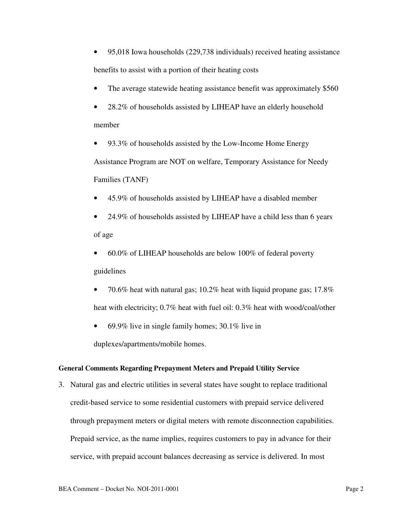- 95,018 Iowa households (229,738 individuals) received heating assistance benefits to assist with a portion of their heating costs
- The average statewide heating assistance benefit was approximately \$560
- 28.2% of households assisted by LIHEAP have an elderly household member
- 93.3% of households assisted by the Low-Income Home Energy Assistance Program are NOT on welfare, Temporary Assistance for Needy Families (TANF)
- 45.9% of households assisted by LIHEAP have a disabled member
- 24.9% of households assisted by LIHEAP have a child less than 6 years of age
- 60.0% of LIHEAP households are below 100% of federal poverty guidelines
- 70.6% heat with natural gas; 10.2% heat with liquid propane gas; 17.8% heat with electricity; 0.7% heat with fuel oil: 0.3% heat with wood/coal/other
- 69.9% live in single family homes; 30.1% live in

duplexes/apartments/mobile homes.

# **General Comments Regarding Prepayment Meters and Prepaid Utility Service**

3. Natural gas and electric utilities in several states have sought to replace traditional credit-based service to some residential customers with prepaid service delivered through prepayment meters or digital meters with remote disconnection capabilities. Prepaid service, as the name implies, requires customers to pay in advance for their service, with prepaid account balances decreasing as service is delivered. In most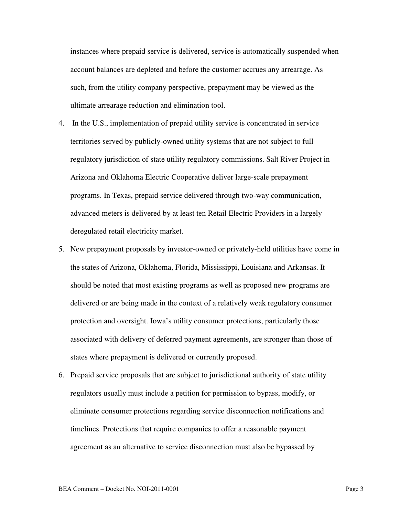instances where prepaid service is delivered, service is automatically suspended when account balances are depleted and before the customer accrues any arrearage. As such, from the utility company perspective, prepayment may be viewed as the ultimate arrearage reduction and elimination tool.

- 4. In the U.S., implementation of prepaid utility service is concentrated in service territories served by publicly-owned utility systems that are not subject to full regulatory jurisdiction of state utility regulatory commissions. Salt River Project in Arizona and Oklahoma Electric Cooperative deliver large-scale prepayment programs. In Texas, prepaid service delivered through two-way communication, advanced meters is delivered by at least ten Retail Electric Providers in a largely deregulated retail electricity market.
- 5. New prepayment proposals by investor-owned or privately-held utilities have come in the states of Arizona, Oklahoma, Florida, Mississippi, Louisiana and Arkansas. It should be noted that most existing programs as well as proposed new programs are delivered or are being made in the context of a relatively weak regulatory consumer protection and oversight. Iowa's utility consumer protections, particularly those associated with delivery of deferred payment agreements, are stronger than those of states where prepayment is delivered or currently proposed.
- 6. Prepaid service proposals that are subject to jurisdictional authority of state utility regulators usually must include a petition for permission to bypass, modify, or eliminate consumer protections regarding service disconnection notifications and timelines. Protections that require companies to offer a reasonable payment agreement as an alternative to service disconnection must also be bypassed by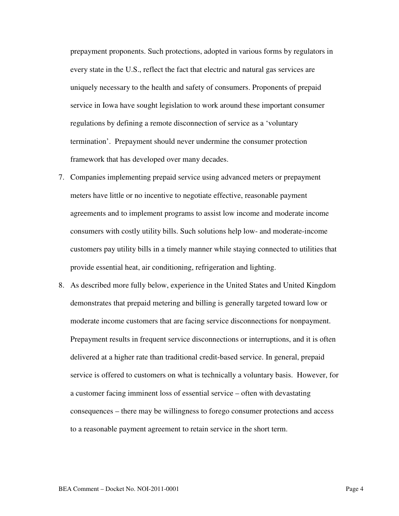prepayment proponents. Such protections, adopted in various forms by regulators in every state in the U.S., reflect the fact that electric and natural gas services are uniquely necessary to the health and safety of consumers. Proponents of prepaid service in Iowa have sought legislation to work around these important consumer regulations by defining a remote disconnection of service as a 'voluntary termination'. Prepayment should never undermine the consumer protection framework that has developed over many decades.

- 7. Companies implementing prepaid service using advanced meters or prepayment meters have little or no incentive to negotiate effective, reasonable payment agreements and to implement programs to assist low income and moderate income consumers with costly utility bills. Such solutions help low- and moderate-income customers pay utility bills in a timely manner while staying connected to utilities that provide essential heat, air conditioning, refrigeration and lighting.
- 8. As described more fully below, experience in the United States and United Kingdom demonstrates that prepaid metering and billing is generally targeted toward low or moderate income customers that are facing service disconnections for nonpayment. Prepayment results in frequent service disconnections or interruptions, and it is often delivered at a higher rate than traditional credit-based service. In general, prepaid service is offered to customers on what is technically a voluntary basis. However, for a customer facing imminent loss of essential service – often with devastating consequences – there may be willingness to forego consumer protections and access to a reasonable payment agreement to retain service in the short term.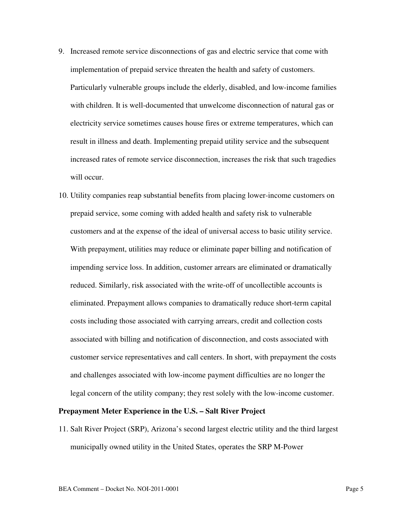- 9. Increased remote service disconnections of gas and electric service that come with implementation of prepaid service threaten the health and safety of customers. Particularly vulnerable groups include the elderly, disabled, and low-income families with children. It is well-documented that unwelcome disconnection of natural gas or electricity service sometimes causes house fires or extreme temperatures, which can result in illness and death. Implementing prepaid utility service and the subsequent increased rates of remote service disconnection, increases the risk that such tragedies will occur.
- 10. Utility companies reap substantial benefits from placing lower-income customers on prepaid service, some coming with added health and safety risk to vulnerable customers and at the expense of the ideal of universal access to basic utility service. With prepayment, utilities may reduce or eliminate paper billing and notification of impending service loss. In addition, customer arrears are eliminated or dramatically reduced. Similarly, risk associated with the write-off of uncollectible accounts is eliminated. Prepayment allows companies to dramatically reduce short-term capital costs including those associated with carrying arrears, credit and collection costs associated with billing and notification of disconnection, and costs associated with customer service representatives and call centers. In short, with prepayment the costs and challenges associated with low-income payment difficulties are no longer the legal concern of the utility company; they rest solely with the low-income customer.

#### **Prepayment Meter Experience in the U.S. – Salt River Project**

11. Salt River Project (SRP), Arizona's second largest electric utility and the third largest municipally owned utility in the United States, operates the SRP M-Power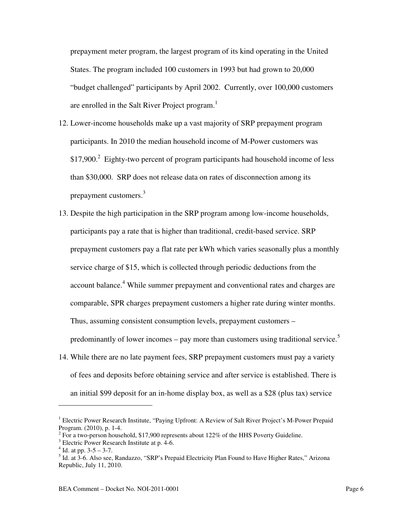prepayment meter program, the largest program of its kind operating in the United States. The program included 100 customers in 1993 but had grown to 20,000 "budget challenged" participants by April 2002. Currently, over 100,000 customers are enrolled in the Salt River Project program.<sup>1</sup>

- 12. Lower-income households make up a vast majority of SRP prepayment program participants. In 2010 the median household income of M-Power customers was  $$17,900.<sup>2</sup>$  Eighty-two percent of program participants had household income of less than \$30,000. SRP does not release data on rates of disconnection among its prepayment customers.<sup>3</sup>
- 13. Despite the high participation in the SRP program among low-income households, participants pay a rate that is higher than traditional, credit-based service. SRP prepayment customers pay a flat rate per kWh which varies seasonally plus a monthly service charge of \$15, which is collected through periodic deductions from the account balance.<sup>4</sup> While summer prepayment and conventional rates and charges are comparable, SPR charges prepayment customers a higher rate during winter months. Thus, assuming consistent consumption levels, prepayment customers – predominantly of lower incomes – pay more than customers using traditional service.<sup>5</sup>
- 14. While there are no late payment fees, SRP prepayment customers must pay a variety of fees and deposits before obtaining service and after service is established. There is an initial \$99 deposit for an in-home display box, as well as a \$28 (plus tax) service

l

<sup>&</sup>lt;sup>1</sup> Electric Power Research Institute, "Paying Upfront: A Review of Salt River Project's M-Power Prepaid Program. (2010), p. 1-4.

 $2^{2}$  For a two-person household, \$17,900 represents about 122% of the HHS Poverty Guideline.

<sup>&</sup>lt;sup>3</sup> Electric Power Research Institute at p. 4-6.

 $4$  Id. at pp. 3-5 – 3-7.

<sup>&</sup>lt;sup>5</sup> Id. at 3-6. Also see, Randazzo, "SRP's Prepaid Electricity Plan Found to Have Higher Rates," Arizona Republic, July 11, 2010.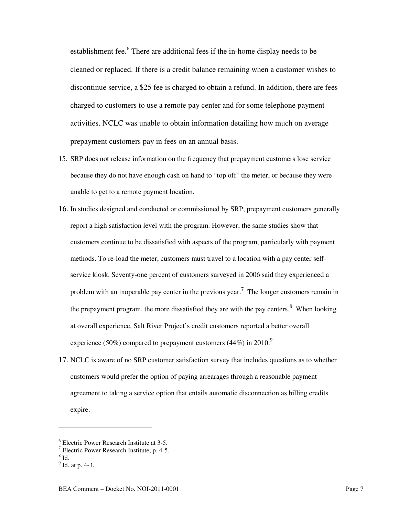establishment fee.<sup>6</sup> There are additional fees if the in-home display needs to be cleaned or replaced. If there is a credit balance remaining when a customer wishes to discontinue service, a \$25 fee is charged to obtain a refund. In addition, there are fees charged to customers to use a remote pay center and for some telephone payment activities. NCLC was unable to obtain information detailing how much on average prepayment customers pay in fees on an annual basis.

- 15. SRP does not release information on the frequency that prepayment customers lose service because they do not have enough cash on hand to "top off" the meter, or because they were unable to get to a remote payment location.
- 16. In studies designed and conducted or commissioned by SRP, prepayment customers generally report a high satisfaction level with the program. However, the same studies show that customers continue to be dissatisfied with aspects of the program, particularly with payment methods. To re-load the meter, customers must travel to a location with a pay center selfservice kiosk. Seventy-one percent of customers surveyed in 2006 said they experienced a problem with an inoperable pay center in the previous year.<sup>7</sup> The longer customers remain in the prepayment program, the more dissatisfied they are with the pay centers. $8$  When looking at overall experience, Salt River Project's credit customers reported a better overall experience (50%) compared to prepayment customers (44%) in 2010.<sup>9</sup>
- 17. NCLC is aware of no SRP customer satisfaction survey that includes questions as to whether customers would prefer the option of paying arrearages through a reasonable payment agreement to taking a service option that entails automatic disconnection as billing credits expire.

 $^8$  Id.

 $\overline{a}$ 

<sup>6</sup> Electric Power Research Institute at 3-5.

<sup>7</sup> Electric Power Research Institute, p. 4-5.

<sup>&</sup>lt;sup>9</sup> Id. at p. 4-3.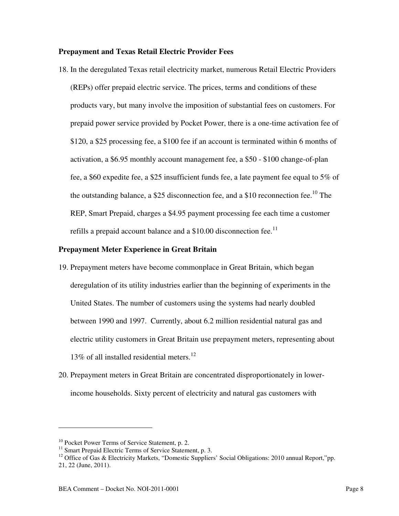## **Prepayment and Texas Retail Electric Provider Fees**

18. In the deregulated Texas retail electricity market, numerous Retail Electric Providers (REPs) offer prepaid electric service. The prices, terms and conditions of these products vary, but many involve the imposition of substantial fees on customers. For prepaid power service provided by Pocket Power, there is a one-time activation fee of \$120, a \$25 processing fee, a \$100 fee if an account is terminated within 6 months of activation, a \$6.95 monthly account management fee, a \$50 - \$100 change-of-plan fee, a \$60 expedite fee, a \$25 insufficient funds fee, a late payment fee equal to 5% of the outstanding balance, a \$25 disconnection fee, and a \$10 reconnection fee.<sup>10</sup> The REP, Smart Prepaid, charges a \$4.95 payment processing fee each time a customer refills a prepaid account balance and a  $$10.00$  disconnection fee.<sup>11</sup>

## **Prepayment Meter Experience in Great Britain**

- 19. Prepayment meters have become commonplace in Great Britain, which began deregulation of its utility industries earlier than the beginning of experiments in the United States. The number of customers using the systems had nearly doubled between 1990 and 1997. Currently, about 6.2 million residential natural gas and electric utility customers in Great Britain use prepayment meters, representing about 13% of all installed residential meters.<sup>12</sup>
- 20. Prepayment meters in Great Britain are concentrated disproportionately in lowerincome households. Sixty percent of electricity and natural gas customers with

 $\overline{a}$ 

<sup>&</sup>lt;sup>10</sup> Pocket Power Terms of Service Statement, p. 2.

<sup>&</sup>lt;sup>11</sup> Smart Prepaid Electric Terms of Service Statement, p. 3.

<sup>&</sup>lt;sup>12</sup> Office of Gas & Electricity Markets, "Domestic Suppliers' Social Obligations: 2010 annual Report,"pp. 21, 22 (June, 2011).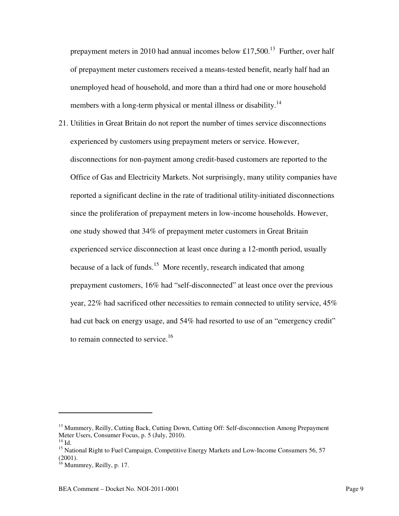prepayment meters in 2010 had annual incomes below £17,500.<sup>13</sup> Further, over half of prepayment meter customers received a means-tested benefit, nearly half had an unemployed head of household, and more than a third had one or more household members with a long-term physical or mental illness or disability.<sup>14</sup>

21. Utilities in Great Britain do not report the number of times service disconnections experienced by customers using prepayment meters or service. However, disconnections for non-payment among credit-based customers are reported to the Office of Gas and Electricity Markets. Not surprisingly, many utility companies have reported a significant decline in the rate of traditional utility-initiated disconnections since the proliferation of prepayment meters in low-income households. However, one study showed that 34% of prepayment meter customers in Great Britain experienced service disconnection at least once during a 12-month period, usually because of a lack of funds.<sup>15</sup> More recently, research indicated that among prepayment customers, 16% had "self-disconnected" at least once over the previous year, 22% had sacrificed other necessities to remain connected to utility service, 45% had cut back on energy usage, and 54% had resorted to use of an "emergency credit" to remain connected to service.<sup>16</sup>

l

<sup>&</sup>lt;sup>13</sup> Mummery, Reilly, Cutting Back, Cutting Down, Cutting Off: Self-disconnection Among Prepayment Meter Users, Consumer Focus, p. 5 (July, 2010).

 $^{14}$  Id.

<sup>&</sup>lt;sup>15</sup> National Right to Fuel Campaign, Competitive Energy Markets and Low-Income Consumers 56, 57 (2001).

<sup>&</sup>lt;sup>16</sup> Mummrey, Reilly, p. 17.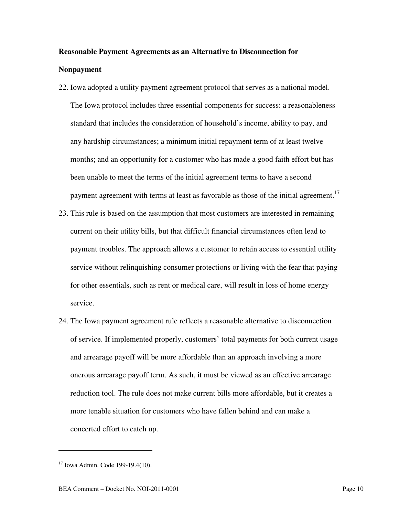# **Reasonable Payment Agreements as an Alternative to Disconnection for Nonpayment**

- 22. Iowa adopted a utility payment agreement protocol that serves as a national model. The Iowa protocol includes three essential components for success: a reasonableness standard that includes the consideration of household's income, ability to pay, and any hardship circumstances; a minimum initial repayment term of at least twelve months; and an opportunity for a customer who has made a good faith effort but has been unable to meet the terms of the initial agreement terms to have a second payment agreement with terms at least as favorable as those of the initial agreement.<sup>17</sup>
- 23. This rule is based on the assumption that most customers are interested in remaining current on their utility bills, but that difficult financial circumstances often lead to payment troubles. The approach allows a customer to retain access to essential utility service without relinquishing consumer protections or living with the fear that paying for other essentials, such as rent or medical care, will result in loss of home energy service.
- 24. The Iowa payment agreement rule reflects a reasonable alternative to disconnection of service. If implemented properly, customers' total payments for both current usage and arrearage payoff will be more affordable than an approach involving a more onerous arrearage payoff term. As such, it must be viewed as an effective arrearage reduction tool. The rule does not make current bills more affordable, but it creates a more tenable situation for customers who have fallen behind and can make a concerted effort to catch up.

l

 $17$  Iowa Admin. Code 199-19.4(10).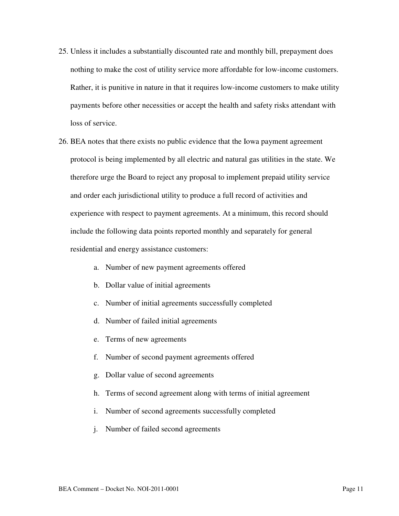- 25. Unless it includes a substantially discounted rate and monthly bill, prepayment does nothing to make the cost of utility service more affordable for low-income customers. Rather, it is punitive in nature in that it requires low-income customers to make utility payments before other necessities or accept the health and safety risks attendant with loss of service.
- 26. BEA notes that there exists no public evidence that the Iowa payment agreement protocol is being implemented by all electric and natural gas utilities in the state. We therefore urge the Board to reject any proposal to implement prepaid utility service and order each jurisdictional utility to produce a full record of activities and experience with respect to payment agreements. At a minimum, this record should include the following data points reported monthly and separately for general residential and energy assistance customers:
	- a. Number of new payment agreements offered
	- b. Dollar value of initial agreements
	- c. Number of initial agreements successfully completed
	- d. Number of failed initial agreements
	- e. Terms of new agreements
	- f. Number of second payment agreements offered
	- g. Dollar value of second agreements
	- h. Terms of second agreement along with terms of initial agreement
	- i. Number of second agreements successfully completed
	- j. Number of failed second agreements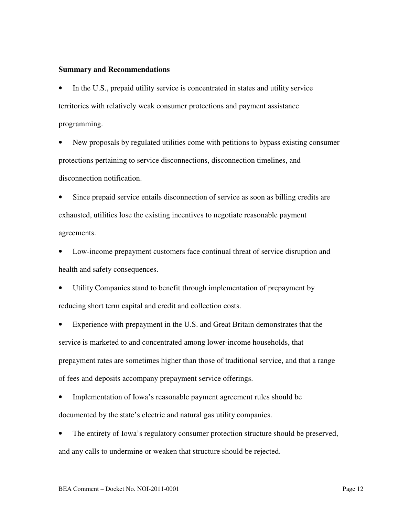### **Summary and Recommendations**

In the U.S., prepaid utility service is concentrated in states and utility service territories with relatively weak consumer protections and payment assistance programming.

• New proposals by regulated utilities come with petitions to bypass existing consumer protections pertaining to service disconnections, disconnection timelines, and disconnection notification.

Since prepaid service entails disconnection of service as soon as billing credits are exhausted, utilities lose the existing incentives to negotiate reasonable payment agreements.

• Low-income prepayment customers face continual threat of service disruption and health and safety consequences.

Utility Companies stand to benefit through implementation of prepayment by reducing short term capital and credit and collection costs.

• Experience with prepayment in the U.S. and Great Britain demonstrates that the service is marketed to and concentrated among lower-income households, that prepayment rates are sometimes higher than those of traditional service, and that a range of fees and deposits accompany prepayment service offerings.

• Implementation of Iowa's reasonable payment agreement rules should be documented by the state's electric and natural gas utility companies.

• The entirety of Iowa's regulatory consumer protection structure should be preserved, and any calls to undermine or weaken that structure should be rejected.